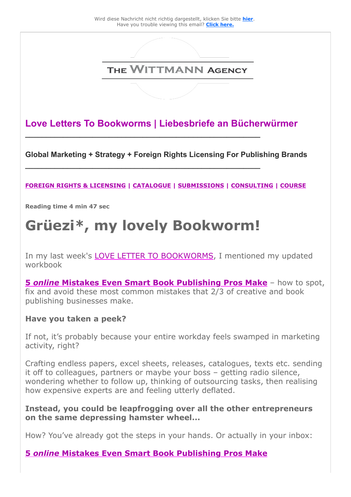

**Love Letters To Bookworms | Liebesbriefe an Bücherwürmer**

**Global Marketing + Strategy + Foreign Rights Licensing For Publishing Brands** 

#### **[FOREIGN RIGHTS & LICENSING](https://25446.seu.cleverreach.com/c/47061367/9d7d5dee238-rb8wkn) | [CATALOGUE](https://25446.seu.cleverreach.com/c/47061368/9d7d5dee238-rb8wkn) | [SUBMISSIONS](https://25446.seu.cleverreach.com/c/47061369/9d7d5dee238-rb8wkn) | [CONSULTING](https://25446.seu.cleverreach.com/c/47061370/9d7d5dee238-rb8wkn) | [COURSE](https://25446.seu.cleverreach.com/c/47061371/9d7d5dee238-rb8wkn)**

**Reading time 4 min 47 sec** 

# **Grüezi\*, my lovely Bookworm!**

**\_\_\_\_\_\_\_\_\_\_\_\_\_\_\_\_\_\_\_\_\_\_\_\_\_\_\_\_\_\_\_\_\_\_\_\_\_\_\_\_\_\_\_\_\_\_\_\_\_\_\_\_\_\_\_\_**

**\_\_\_\_\_\_\_\_\_\_\_\_\_\_\_\_\_\_\_\_\_\_\_\_\_\_\_\_\_\_\_\_\_\_\_\_\_\_\_\_\_\_\_\_\_\_\_\_\_\_\_\_\_\_\_\_** 

In my last week's [LOVE LETTER TO BOOKWORMS](https://25446.seu.cleverreach.com/c/47061372/9d7d5dee238-rb8wkn), I mentioned my updated workbook

**5** *online* **[Mistakes Even Smart Book Publishing Pros Make](https://25446.seu.cleverreach.com/c/47061373/9d7d5dee238-rb8wkn)** – how to spot, fix and avoid these most common mistakes that 2/3 of creative and book publishing businesses make.

#### **Have you taken a peek?**

If not, it's probably because your entire workday feels swamped in marketing activity, right?

Crafting endless papers, excel sheets, releases, catalogues, texts etc. sending it off to colleagues, partners or maybe your boss – getting radio silence, wondering whether to follow up, thinking of outsourcing tasks, then realising how expensive experts are and feeling utterly deflated.

#### **Instead, you could be leapfrogging over all the other entrepreneurs on the same depressing hamster wheel...**

How? You've already got the steps in your hands. Or actually in your inbox:

#### **5** *online* **[Mistakes Even Smart Book Publishing Pros Make](https://25446.seu.cleverreach.com/c/47061373/9d7d5dee238-rb8wkn)**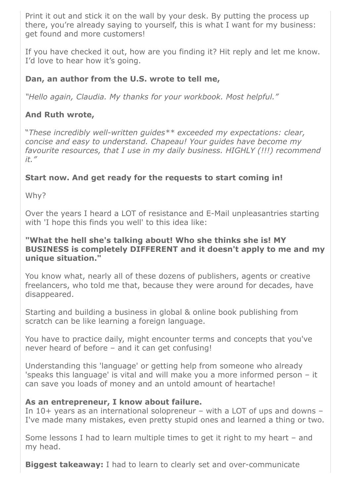Print it out and stick it on the wall by your desk. By putting the process up there, you're already saying to yourself, this is what I want for my business: get found and more customers!

If you have checked it out, how are you finding it? Hit reply and let me know. I'd love to hear how it's going.

#### **Dan, an author from the U.S. wrote to tell me,**

*"Hello again, Claudia. My thanks for your workbook. Most helpful."*

#### **And Ruth wrote,**

"*These incredibly well-written guides\*\* exceeded my expectations: clear, concise and easy to understand. Chapeau! Your guides have become my favourite resources, that I use in my daily business. HIGHLY (!!!) recommend it."*

#### **Start now. And get ready for the requests to start coming in!**

Why?

Over the years I heard a LOT of resistance and E-Mail unpleasantries starting with 'I hope this finds you well' to this idea like:

#### **"What the hell she's talking about! Who she thinks she is! MY BUSINESS is completely DIFFERENT and it doesn't apply to me and my unique situation."**

You know what, nearly all of these dozens of publishers, agents or creative freelancers, who told me that, because they were around for decades, have disappeared.

Starting and building a business in global & online book publishing from scratch can be like learning a foreign language.

You have to practice daily, might encounter terms and concepts that you've never heard of before – and it can get confusing!

Understanding this 'language' or getting help from someone who already 'speaks this language' is vital and will make you a more informed person – it can save you loads of money and an untold amount of heartache!

#### **As an entrepreneur, I know about failure.**

In 10+ years as an international solopreneur – with a LOT of ups and downs – I've made many mistakes, even pretty stupid ones and learned a thing or two.

Some lessons I had to learn multiple times to get it right to my heart – and my head.

**Biggest takeaway:** I had to learn to clearly set and over-communicate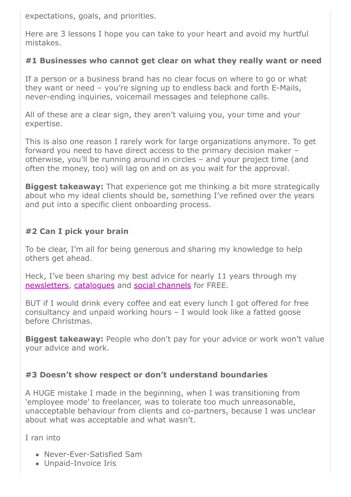expectations, goals, and priorities.

Here are 3 lessons I hope you can take to your heart and avoid my hurtful mistakes.

#### **#1 Businesses who cannot get clear on what they really want or need**

If a person or a business brand has no clear focus on where to go or what they want or need – you're signing up to endless back and forth E-Mails, never-ending inquiries, voicemail messages and telephone calls.

All of these are a clear sign, they aren't valuing you, your time and your expertise.

This is also one reason I rarely work for large organizations anymore. To get forward you need to have direct access to the primary decision maker – otherwise, you'll be running around in circles – and your project time (and often the money, too) will lag on and on as you wait for the approval.

**Biggest takeaway:** That experience got me thinking a bit more strategically about who my ideal clients should be, something I've refined over the years and put into a specific client onboarding process.

### **#2 Can I pick your brain**

To be clear, I'm all for being generous and sharing my knowledge to help others get ahead.

Heck, I've been sharing my best advice for nearly 11 years through my [newsletters,](https://25446.seu.cleverreach.com/c/47061374/9d7d5dee238-rb8wkn) [catalogues](https://25446.seu.cleverreach.com/c/47061368/9d7d5dee238-rb8wkn) and [social channels](https://25446.seu.cleverreach.com/c/47061375/9d7d5dee238-rb8wkn) for FREE.

BUT if I would drink every coffee and eat every lunch I got offered for free consultancy and unpaid working hours – I would look like a fatted goose before Christmas.

**Biggest takeaway:** People who don't pay for your advice or work won't value your advice and work.

#### **#3 Doesn't show respect or don't understand boundaries**

A HUGE mistake I made in the beginning, when I was transitioning from 'employee mode' to freelancer, was to tolerate too much unreasonable, unacceptable behaviour from clients and co-partners, because I was unclear about what was acceptable and what wasn't.

I ran into

- Never-Ever-Satisfied Sam
- Unpaid-Invoice Iris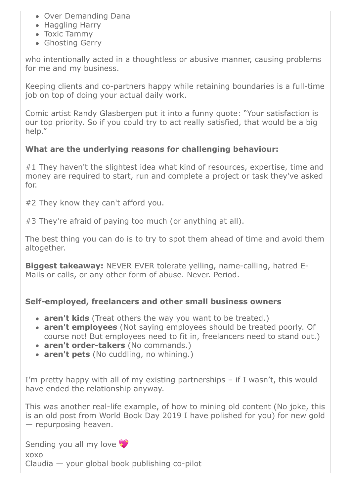- Over Demanding Dana
- Haggling Harry
- Toxic Tammy
- Ghosting Gerry

who intentionally acted in a thoughtless or abusive manner, causing problems for me and my business.

Keeping clients and co-partners happy while retaining boundaries is a full-time job on top of doing your actual daily work.

Comic artist Randy Glasbergen put it into a funny quote: "Your satisfaction is our top priority. So if you could try to act really satisfied, that would be a big help."

### **What are the underlying reasons for challenging behaviour:**

#1 They haven't the slightest idea what kind of resources, expertise, time and money are required to start, run and complete a project or task they've asked for.

#2 They know they can't afford you.

#3 They're afraid of paying too much (or anything at all).

The best thing you can do is to try to spot them ahead of time and avoid them altogether.

**Biggest takeaway:** NEVER EVER tolerate yelling, name-calling, hatred E-Mails or calls, or any other form of abuse. Never. Period.

#### **Self-employed, freelancers and other small business owners**

- **aren't kids** (Treat others the way you want to be treated.)
- **aren't employees** (Not saying employees should be treated poorly. Of course not! But employees need to fit in, freelancers need to stand out.)
- **aren't order-takers** (No commands.)
- **aren't pets** (No cuddling, no whining.)

I'm pretty happy with all of my existing partnerships – if I wasn't, this would have ended the relationship anyway.

This was another real-life example, of how to mining old content (No joke, this is an old post from World Book Day 2019 I have polished for you) for new gold — repurposing heaven.

Sending you all my love

xoxo

Claudia — your global book publishing co-pilot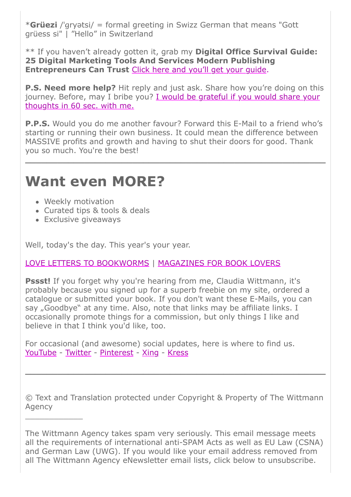\***Grüezi** /ˈɡryətsi/ = formal greeting in Swizz German that means "Gott grüess si" | "Hello" in Switzerland

\*\* If you haven't already gotten it, grab my **Digital Office Survival Guide: 25 Digital Marketing Tools And Services Modern Publishing Entrepreneurs Can Trust** [Click here and you'll get your guide.](https://25446.seu.cleverreach.com/c/47061376/9d7d5dee238-rb8wkn)

**P.S. Need more help?** Hit reply and just ask. Share how you're doing on this [journey. Before, may I bribe you? I would be grateful if you would share your](https://25446.seu.cleverreach.com/c/47061377/9d7d5dee238-rb8wkn) thoughts in 60 sec. with me.

**P.P.S.** Would you do me another favour? Forward this E-Mail to a friend who's starting or running their own business. It could mean the difference between MASSIVE profits and growth and having to shut their doors for good. Thank you so much. You're the best!

**\_\_\_\_\_\_\_\_\_\_\_\_\_\_\_\_\_\_\_\_\_\_\_\_\_\_\_\_\_\_\_\_\_\_\_\_\_\_\_\_\_\_\_\_\_\_\_\_\_\_\_\_\_\_\_\_**

## **Want even MORE?**

- Weekly motivation
- Curated tips & tools & deals
- Exclusive giveaways

 $\overline{\phantom{a}}$  , where  $\overline{\phantom{a}}$ 

Well, today's the day. This year's your year.

#### [LOVE LETTERS TO BOOKWORMS](https://25446.seu.cleverreach.com/c/47061374/9d7d5dee238-rb8wkn) | [MAGAZINES FOR BOOK LOVERS](https://25446.seu.cleverreach.com/c/47061378/9d7d5dee238-rb8wkn)

**Pssst!** If you forget why you're hearing from me, Claudia Wittmann, it's probably because you signed up for a superb freebie on my site, ordered a catalogue or submitted your book. If you don't want these E-Mails, you can say "Goodbye" at any time. Also, note that links may be affiliate links. I occasionally promote things for a commission, but only things I like and believe in that I think you'd like, too.

For occasional (and awesome) social updates, here is where to find us. [YouTube](https://25446.seu.cleverreach.com/c/47061379/9d7d5dee238-rb8wkn) - [Twitter](https://25446.seu.cleverreach.com/c/47061380/9d7d5dee238-rb8wkn) - [Pinterest](https://25446.seu.cleverreach.com/c/47061381/9d7d5dee238-rb8wkn) - [Xing](https://25446.seu.cleverreach.com/c/47061382/9d7d5dee238-rb8wkn) - [Kress](https://25446.seu.cleverreach.com/c/47061383/9d7d5dee238-rb8wkn)

© Text and Translation protected under Copyright & Property of The Wittmann Agency

**\_\_\_\_\_\_\_\_\_\_\_\_\_\_\_\_\_\_\_\_\_\_\_\_\_\_\_\_\_\_\_\_\_\_\_\_\_\_\_\_\_\_\_\_\_\_\_\_\_\_\_\_\_\_\_\_**

The Wittmann Agency takes spam very seriously. This email message meets all the requirements of international anti-SPAM Acts as well as EU Law (CSNA) and German Law (UWG). If you would like your email address removed from all The Wittmann Agency eNewsletter email lists, click below to unsubscribe.